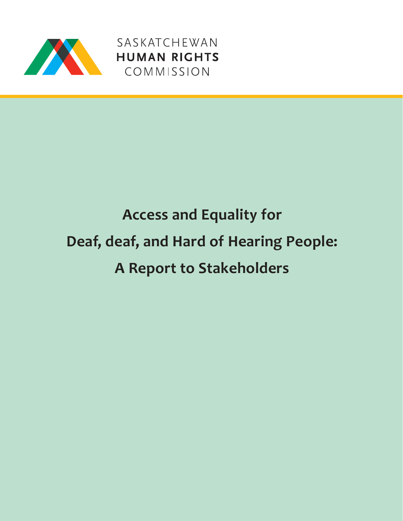

SASKATCHEWAN SASKATCHEWAN<br>HUMAN RIGHTS<br>COMMISSION

# **Access and Equality for Deaf, deaf, and Hard of Hearing People: A Report to Stakeholders**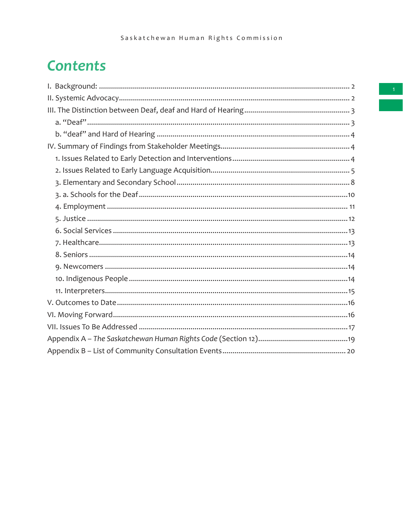## **Contents**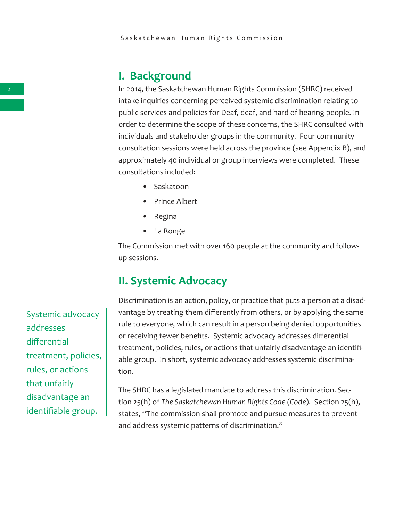### **I. Background**

In 2014, the Saskatchewan Human Rights Commission (SHRC) received intake inquiries concerning perceived systemic discrimination relating to public services and policies for Deaf, deaf, and hard of hearing people. In order to determine the scope of these concerns, the SHRC consulted with individuals and stakeholder groups in the community. Four community consultation sessions were held across the province (see Appendix B), and approximately 40 individual or group interviews were completed. These consultations included:

- Saskatoon
- Prince Albert
- Regina
- La Ronge

The Commission met with over 160 people at the community and followup sessions.

## **II. Systemic Advocacy**

Discrimination is an action, policy, or practice that puts a person at a disadvantage by treating them differently from others, or by applying the same rule to everyone, which can result in a person being denied opportunities or receiving fewer benefits. Systemic advocacy addresses differential treatment, policies, rules, or actions that unfairly disadvantage an identifiable group. In short, systemic advocacy addresses systemic discrimination.

The SHRC has a legislated mandate to address this discrimination. Section 25(h) of *The Saskatchewan Human Rights Code* (*Code*). Section 25(h), states, "The commission shall promote and pursue measures to prevent and address systemic patterns of discrimination."

Systemic advocacy addresses differential treatment, policies, rules, or actions that unfairly disadvantage an identifiable group.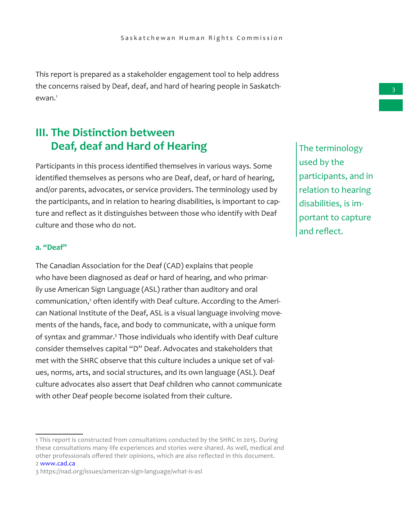This report is prepared as a stakeholder engagement tool to help address the concerns raised by Deaf, deaf, and hard of hearing people in Saskatchewan.<sup>1</sup>

## **III. The Distinction between Deaf, deaf and Hard of Hearing**

Participants in this process identified themselves in various ways. Some identified themselves as persons who are Deaf, deaf, or hard of hearing, and/or parents, advocates, or service providers. The terminology used by the participants, and in relation to hearing disabilities, is important to capture and reflect as it distinguishes between those who identify with Deaf culture and those who do not.

#### **a. "Deaf"**

The Canadian Association for the Deaf (CAD) explains that people who have been diagnosed as deaf or hard of hearing, and who primarily use American Sign Language (ASL) rather than auditory and oral communication,<sup>2</sup> often identify with Deaf culture. According to the American National Institute of the Deaf, ASL is a visual language involving movements of the hands, face, and body to communicate, with a unique form of syntax and grammar.<sup>3</sup> Those individuals who identify with Deaf culture consider themselves capital "D" Deaf. Advocates and stakeholders that met with the SHRC observe that this culture includes a unique set of values, norms, arts, and social structures, and its own language (ASL). Deaf culture advocates also assert that Deaf children who cannot communicate with other Deaf people become isolated from their culture.

The terminology used by the participants, and in relation to hearing disabilities, is important to capture and reflect.

<sup>1</sup> This report is constructed from consultations conducted by the SHRC in 2015. During these consultations many life experiences and stories were shared. As well, medical and other professionals offered their opinions, which are also reflected in this document. 2 www.cad.ca

<sup>3</sup> https://nad.org/issues/american-sign-language/what-is-asl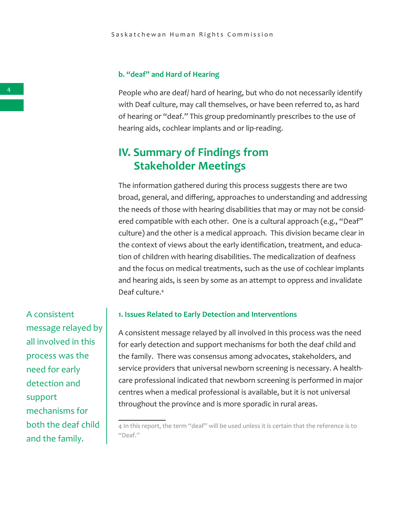#### **b. "deaf" and Hard of Hearing**

People who are deaf/ hard of hearing, but who do not necessarily identify with Deaf culture, may call themselves, or have been referred to, as hard of hearing or "deaf." This group predominantly prescribes to the use of hearing aids, cochlear implants and or lip-reading.

## **IV. Summary of Findings from Stakeholder Meetings**

The information gathered during this process suggests there are two broad, general, and differing, approaches to understanding and addressing the needs of those with hearing disabilities that may or may not be considered compatible with each other. One is a cultural approach (e.g., "Deaf" culture) and the other is a medical approach. This division became clear in the context of views about the early identification, treatment, and education of children with hearing disabilities. The medicalization of deafness and the focus on medical treatments, such as the use of cochlear implants and hearing aids, is seen by some as an attempt to oppress and invalidate Deaf culture.<sup>4</sup>

A consistent message relayed by all involved in this process was the need for early detection and support mechanisms for both the deaf child and the family.

#### **1. Issues Related to Early Detection and Interventions**

A consistent message relayed by all involved in this process was the need for early detection and support mechanisms for both the deaf child and the family. There was consensus among advocates, stakeholders, and service providers that universal newborn screening is necessary. A healthcare professional indicated that newborn screening is performed in major centres when a medical professional is available, but it is not universal throughout the province and is more sporadic in rural areas.

<sup>4</sup> In this report, the term "deaf" will be used unless it is certain that the reference is to "Deaf."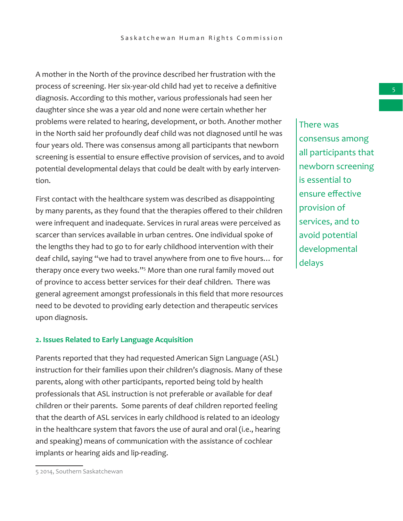A mother in the North of the province described her frustration with the process of screening. Her six-year-old child had yet to receive a definitive diagnosis. According to this mother, various professionals had seen her daughter since she was a year old and none were certain whether her problems were related to hearing, development, or both. Another mother in the North said her profoundly deaf child was not diagnosed until he was four years old. There was consensus among all participants that newborn screening is essential to ensure effective provision of services, and to avoid potential developmental delays that could be dealt with by early intervention.

First contact with the healthcare system was described as disappointing by many parents, as they found that the therapies offered to their children were infrequent and inadequate. Services in rural areas were perceived as scarcer than services available in urban centres. One individual spoke of the lengths they had to go to for early childhood intervention with their deaf child, saying "we had to travel anywhere from one to five hours… for therapy once every two weeks."<sup>5</sup> More than one rural family moved out of province to access better services for their deaf children. There was general agreement amongst professionals in this field that more resources need to be devoted to providing early detection and therapeutic services upon diagnosis.

#### **2. Issues Related to Early Language Acquisition**

Parents reported that they had requested American Sign Language (ASL) instruction for their families upon their children's diagnosis. Many of these parents, along with other participants, reported being told by health professionals that ASL instruction is not preferable or available for deaf children or their parents. Some parents of deaf children reported feeling that the dearth of ASL services in early childhood is related to an ideology in the healthcare system that favors the use of aural and oral (i.e., hearing and speaking) means of communication with the assistance of cochlear implants or hearing aids and lip-reading.

5

There was consensus among all participants that newborn screening is essential to ensure effective provision of services, and to avoid potential developmental delays

<sup>5 2014,</sup> Southern Saskatchewan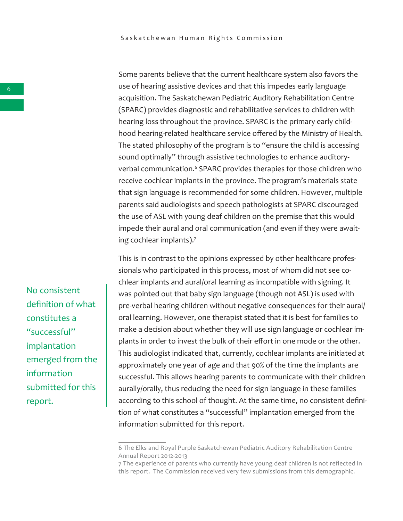Some parents believe that the current healthcare system also favors the use of hearing assistive devices and that this impedes early language acquisition. The Saskatchewan Pediatric Auditory Rehabilitation Centre (SPARC) provides diagnostic and rehabilitative services to children with hearing loss throughout the province. SPARC is the primary early childhood hearing-related healthcare service offered by the Ministry of Health. The stated philosophy of the program is to "ensure the child is accessing sound optimally" through assistive technologies to enhance auditoryverbal communication.<sup>6</sup> SPARC provides therapies for those children who receive cochlear implants in the province. The program's materials state that sign language is recommended for some children. However, multiple parents said audiologists and speech pathologists at SPARC discouraged the use of ASL with young deaf children on the premise that this would impede their aural and oral communication (and even if they were awaiting cochlear implants).<sup>7</sup>

This is in contrast to the opinions expressed by other healthcare professionals who participated in this process, most of whom did not see cochlear implants and aural/oral learning as incompatible with signing. It was pointed out that baby sign language (though not ASL) is used with pre-verbal hearing children without negative consequences for their aural/ oral learning. However, one therapist stated that it is best for families to make a decision about whether they will use sign language or cochlear implants in order to invest the bulk of their effort in one mode or the other. This audiologist indicated that, currently, cochlear implants are initiated at approximately one year of age and that 90% of the time the implants are successful. This allows hearing parents to communicate with their children aurally/orally, thus reducing the need for sign language in these families according to this school of thought. At the same time, no consistent definition of what constitutes a "successful" implantation emerged from the information submitted for this report.

No consistent definition of what constitutes a "successful" implantation emerged from the information submitted for this report.

<sup>6</sup> The Elks and Royal Purple Saskatchewan Pediatric Auditory Rehabilitation Centre Annual Report 2012-2013

<sup>7</sup> The experience of parents who currently have young deaf children is not reflected in this report. The Commission received very few submissions from this demographic.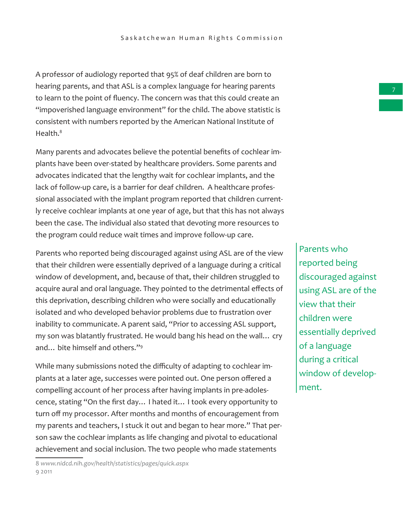A professor of audiology reported that 95% of deaf children are born to hearing parents, and that ASL is a complex language for hearing parents to learn to the point of fluency. The concern was that this could create an "impoverished language environment" for the child. The above statistic is consistent with numbers reported by the American National Institute of Health.<sup>8</sup>

Many parents and advocates believe the potential benefits of cochlear implants have been over-stated by healthcare providers. Some parents and advocates indicated that the lengthy wait for cochlear implants, and the lack of follow-up care, is a barrier for deaf children. A healthcare professional associated with the implant program reported that children currently receive cochlear implants at one year of age, but that this has not always been the case. The individual also stated that devoting more resources to the program could reduce wait times and improve follow-up care.

Parents who reported being discouraged against using ASL are of the view that their children were essentially deprived of a language during a critical window of development, and, because of that, their children struggled to acquire aural and oral language. They pointed to the detrimental effects of this deprivation, describing children who were socially and educationally isolated and who developed behavior problems due to frustration over inability to communicate. A parent said, "Prior to accessing ASL support, my son was blatantly frustrated. He would bang his head on the wall… cry and… bite himself and others."<sup>9</sup>

While many submissions noted the difficulty of adapting to cochlear implants at a later age, successes were pointed out. One person offered a compelling account of her process after having implants in pre-adolescence, stating "On the first day… I hated it… I took every opportunity to turn off my processor. After months and months of encouragement from my parents and teachers, I stuck it out and began to hear more." That person saw the cochlear implants as life changing and pivotal to educational achievement and social inclusion. The two people who made statements

8 *www.nidcd.nih.gov/health/statistics/pages/quick.aspx*  9 2011

Parents who reported being discouraged against using ASL are of the view that their children were essentially deprived of a language during a critical window of development.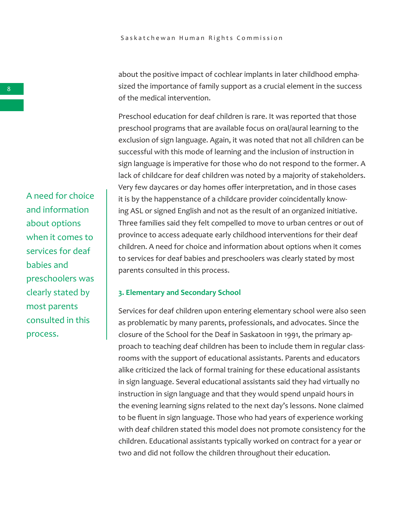about the positive impact of cochlear implants in later childhood emphasized the importance of family support as a crucial element in the success of the medical intervention.

Preschool education for deaf children is rare. It was reported that those preschool programs that are available focus on oral/aural learning to the exclusion of sign language. Again, it was noted that not all children can be successful with this mode of learning and the inclusion of instruction in sign language is imperative for those who do not respond to the former. A lack of childcare for deaf children was noted by a majority of stakeholders. Very few daycares or day homes offer interpretation, and in those cases it is by the happenstance of a childcare provider coincidentally knowing ASL or signed English and not as the result of an organized initiative. Three families said they felt compelled to move to urban centres or out of province to access adequate early childhood interventions for their deaf children. A need for choice and information about options when it comes to services for deaf babies and preschoolers was clearly stated by most parents consulted in this process.

#### **3. Elementary and Secondary School**

Services for deaf children upon entering elementary school were also seen as problematic by many parents, professionals, and advocates. Since the closure of the School for the Deaf in Saskatoon in 1991, the primary approach to teaching deaf children has been to include them in regular classrooms with the support of educational assistants. Parents and educators alike criticized the lack of formal training for these educational assistants in sign language. Several educational assistants said they had virtually no instruction in sign language and that they would spend unpaid hours in the evening learning signs related to the next day's lessons. None claimed to be fluent in sign language. Those who had years of experience working with deaf children stated this model does not promote consistency for the children. Educational assistants typically worked on contract for a year or two and did not follow the children throughout their education.

A need for choice and information about options when it comes to services for deaf babies and preschoolers was clearly stated by most parents consulted in this process.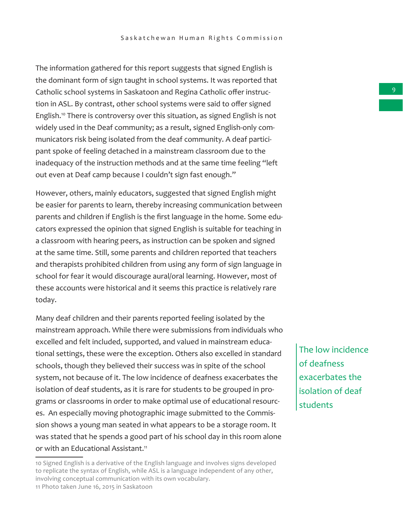The information gathered for this report suggests that signed English is the dominant form of sign taught in school systems. It was reported that Catholic school systems in Saskatoon and Regina Catholic offer instruction in ASL. By contrast, other school systems were said to offer signed English.<sup>10</sup> There is controversy over this situation, as signed English is not widely used in the Deaf community; as a result, signed English-only communicators risk being isolated from the deaf community. A deaf participant spoke of feeling detached in a mainstream classroom due to the inadequacy of the instruction methods and at the same time feeling "left out even at Deaf camp because I couldn't sign fast enough."

However, others, mainly educators, suggested that signed English might be easier for parents to learn, thereby increasing communication between parents and children if English is the first language in the home. Some educators expressed the opinion that signed English is suitable for teaching in a classroom with hearing peers, as instruction can be spoken and signed at the same time. Still, some parents and children reported that teachers and therapists prohibited children from using any form of sign language in school for fear it would discourage aural/oral learning. However, most of these accounts were historical and it seems this practice is relatively rare today.

Many deaf children and their parents reported feeling isolated by the mainstream approach. While there were submissions from individuals who excelled and felt included, supported, and valued in mainstream educational settings, these were the exception. Others also excelled in standard schools, though they believed their success was in spite of the school system, not because of it. The low incidence of deafness exacerbates the isolation of deaf students, as it is rare for students to be grouped in programs or classrooms in order to make optimal use of educational resources. An especially moving photographic image submitted to the Commission shows a young man seated in what appears to be a storage room. It was stated that he spends a good part of his school day in this room alone or with an Educational Assistant.<sup>11</sup>

The low incidence of deafness exacerbates the isolation of deaf students

<sup>10</sup> Signed English is a derivative of the English language and involves signs developed to replicate the syntax of English, while ASL is a language independent of any other, involving conceptual communication with its own vocabulary. 11 Photo taken June 16, 2015 in Saskatoon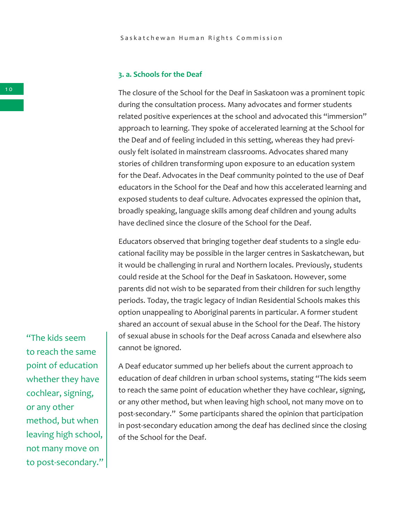#### **3. a. Schools for the Deaf**

The closure of the School for the Deaf in Saskatoon was a prominent topic during the consultation process. Many advocates and former students related positive experiences at the school and advocated this "immersion" approach to learning. They spoke of accelerated learning at the School for the Deaf and of feeling included in this setting, whereas they had previously felt isolated in mainstream classrooms. Advocates shared many stories of children transforming upon exposure to an education system for the Deaf. Advocates in the Deaf community pointed to the use of Deaf educators in the School for the Deaf and how this accelerated learning and exposed students to deaf culture. Advocates expressed the opinion that, broadly speaking, language skills among deaf children and young adults have declined since the closure of the School for the Deaf.

Educators observed that bringing together deaf students to a single educational facility may be possible in the larger centres in Saskatchewan, but it would be challenging in rural and Northern locales. Previously, students could reside at the School for the Deaf in Saskatoon. However, some parents did not wish to be separated from their children for such lengthy periods. Today, the tragic legacy of Indian Residential Schools makes this option unappealing to Aboriginal parents in particular. A former student shared an account of sexual abuse in the School for the Deaf. The history of sexual abuse in schools for the Deaf across Canada and elsewhere also cannot be ignored.

A Deaf educator summed up her beliefs about the current approach to education of deaf children in urban school systems, stating "The kids seem to reach the same point of education whether they have cochlear, signing, or any other method, but when leaving high school, not many move on to post-secondary." Some participants shared the opinion that participation in post-secondary education among the deaf has declined since the closing of the School for the Deaf.

"The kids seem to reach the same point of education whether they have cochlear, signing, or any other method, but when leaving high school, not many move on to post-secondary."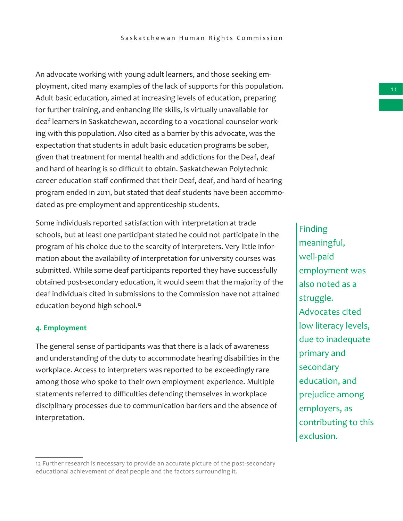An advocate working with young adult learners, and those seeking employment, cited many examples of the lack of supports for this population. Adult basic education, aimed at increasing levels of education, preparing for further training, and enhancing life skills, is virtually unavailable for deaf learners in Saskatchewan, according to a vocational counselor working with this population. Also cited as a barrier by this advocate, was the expectation that students in adult basic education programs be sober, given that treatment for mental health and addictions for the Deaf, deaf and hard of hearing is so difficult to obtain. Saskatchewan Polytechnic career education staff confirmed that their Deaf, deaf, and hard of hearing program ended in 2011, but stated that deaf students have been accommodated as pre-employment and apprenticeship students.

Some individuals reported satisfaction with interpretation at trade schools, but at least one participant stated he could not participate in the program of his choice due to the scarcity of interpreters. Very little information about the availability of interpretation for university courses was submitted. While some deaf participants reported they have successfully obtained post-secondary education, it would seem that the majority of the deaf individuals cited in submissions to the Commission have not attained education beyond high school.<sup>12</sup>

#### **4. Employment**

The general sense of participants was that there is a lack of awareness and understanding of the duty to accommodate hearing disabilities in the workplace. Access to interpreters was reported to be exceedingly rare among those who spoke to their own employment experience. Multiple statements referred to difficulties defending themselves in workplace disciplinary processes due to communication barriers and the absence of interpretation.

Finding meaningful, well-paid employment was also noted as a struggle. Advocates cited low literacy levels, due to inadequate primary and secondary education, and prejudice among employers, as contributing to this exclusion.

<sup>12</sup> Further research is necessary to provide an accurate picture of the post-secondary educational achievement of deaf people and the factors surrounding it.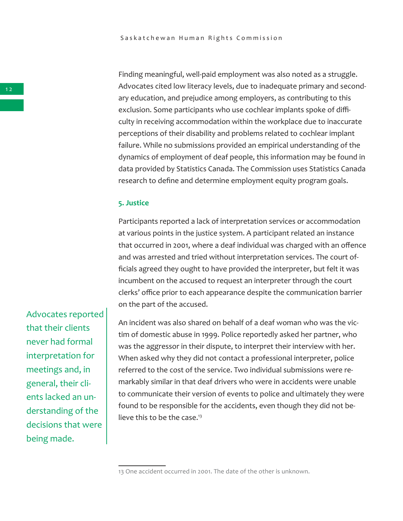Finding meaningful, well-paid employment was also noted as a struggle. Advocates cited low literacy levels, due to inadequate primary and secondary education, and prejudice among employers, as contributing to this exclusion. Some participants who use cochlear implants spoke of difficulty in receiving accommodation within the workplace due to inaccurate perceptions of their disability and problems related to cochlear implant failure. While no submissions provided an empirical understanding of the dynamics of employment of deaf people, this information may be found in data provided by Statistics Canada. The Commission uses Statistics Canada research to define and determine employment equity program goals.

#### **5. Justice**

Participants reported a lack of interpretation services or accommodation at various points in the justice system. A participant related an instance that occurred in 2001, where a deaf individual was charged with an offence and was arrested and tried without interpretation services. The court officials agreed they ought to have provided the interpreter, but felt it was incumbent on the accused to request an interpreter through the court clerks' office prior to each appearance despite the communication barrier on the part of the accused.

An incident was also shared on behalf of a deaf woman who was the victim of domestic abuse in 1999. Police reportedly asked her partner, who was the aggressor in their dispute, to interpret their interview with her. When asked why they did not contact a professional interpreter, police referred to the cost of the service. Two individual submissions were remarkably similar in that deaf drivers who were in accidents were unable to communicate their version of events to police and ultimately they were found to be responsible for the accidents, even though they did not believe this to be the case.<sup>13</sup>

Advocates reported that their clients never had formal interpretation for meetings and, in general, their clients lacked an understanding of the decisions that were being made.

<sup>13</sup> One accident occurred in 2001. The date of the other is unknown.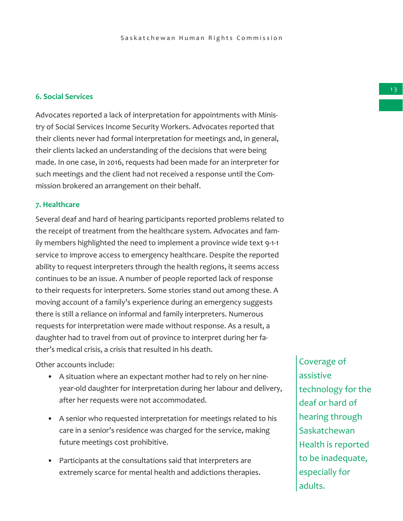#### **6. Social Services**

Advocates reported a lack of interpretation for appointments with Ministry of Social Services Income Security Workers. Advocates reported that their clients never had formal interpretation for meetings and, in general, their clients lacked an understanding of the decisions that were being made. In one case, in 2016, requests had been made for an interpreter for such meetings and the client had not received a response until the Commission brokered an arrangement on their behalf.

#### **7. Healthcare**

Several deaf and hard of hearing participants reported problems related to the receipt of treatment from the healthcare system. Advocates and family members highlighted the need to implement a province wide text 9-1-1 service to improve access to emergency healthcare. Despite the reported ability to request interpreters through the health regions, it seems access continues to be an issue. A number of people reported lack of response to their requests for interpreters. Some stories stand out among these. A moving account of a family's experience during an emergency suggests there is still a reliance on informal and family interpreters. Numerous requests for interpretation were made without response. As a result, a daughter had to travel from out of province to interpret during her father's medical crisis, a crisis that resulted in his death.

Other accounts include:

- A situation where an expectant mother had to rely on her nineyear-old daughter for interpretation during her labour and delivery, after her requests were not accommodated.
- A senior who requested interpretation for meetings related to his care in a senior's residence was charged for the service, making future meetings cost prohibitive.
- Participants at the consultations said that interpreters are extremely scarce for mental health and addictions therapies.

Coverage of assistive technology for the deaf or hard of hearing through **Saskatchewan** Health is reported to be inadequate, especially for adults.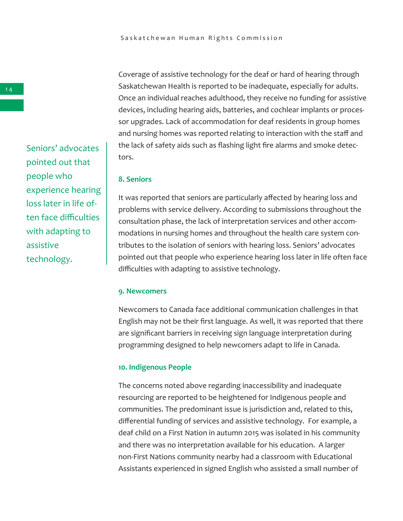Coverage of assistive technology for the deaf or hard of hearing through Saskatchewan Health is reported to be inadequate, especially for adults. Once an individual reaches adulthood, they receive no funding for assistive devices, including hearing aids, batteries, and cochlear implants or processor upgrades. Lack of accommodation for deaf residents in group homes and nursing homes was reported relating to interaction with the staff and the lack of safety aids such as flashing light fire alarms and smoke detectors.

#### **8. Seniors**

It was reported that seniors are particularly affected by hearing loss and problems with service delivery. According to submissions throughout the consultation phase, the lack of interpretation services and other accommodations in nursing homes and throughout the health care system contributes to the isolation of seniors with hearing loss. Seniors' advocates pointed out that people who experience hearing loss later in life often face difficulties with adapting to assistive technology.

#### **9. Newcomers**

Newcomers to Canada face additional communication challenges in that English may not be their first language. As well, it was reported that there are significant barriers in receiving sign language interpretation during programming designed to help newcomers adapt to life in Canada.

#### **10. Indigenous People**

The concerns noted above regarding inaccessibility and inadequate resourcing are reported to be heightened for Indigenous people and communities. The predominant issue is jurisdiction and, related to this, differential funding of services and assistive technology. For example, a deaf child on a First Nation in autumn 2015 was isolated in his community and there was no interpretation available for his education. A larger non-First Nations community nearby had a classroom with Educational Assistants experienced in signed English who assisted a small number of

Seniors' advocates pointed out that people who experience hearing loss later in life often face difficulties with adapting to assistive technology.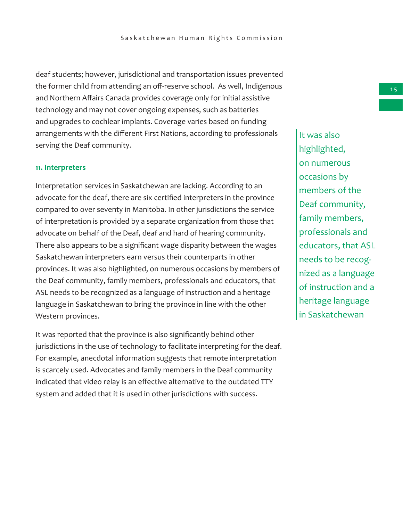deaf students; however, jurisdictional and transportation issues prevented the former child from attending an off-reserve school. As well, Indigenous and Northern Affairs Canada provides coverage only for initial assistive technology and may not cover ongoing expenses, such as batteries and upgrades to cochlear implants. Coverage varies based on funding arrangements with the different First Nations, according to professionals serving the Deaf community.

#### **11. Interpreters**

Interpretation services in Saskatchewan are lacking. According to an advocate for the deaf, there are six certified interpreters in the province compared to over seventy in Manitoba. In other jurisdictions the service of interpretation is provided by a separate organization from those that advocate on behalf of the Deaf, deaf and hard of hearing community. There also appears to be a significant wage disparity between the wages Saskatchewan interpreters earn versus their counterparts in other provinces. It was also highlighted, on numerous occasions by members of the Deaf community, family members, professionals and educators, that ASL needs to be recognized as a language of instruction and a heritage language in Saskatchewan to bring the province in line with the other Western provinces.

It was reported that the province is also significantly behind other jurisdictions in the use of technology to facilitate interpreting for the deaf. For example, anecdotal information suggests that remote interpretation is scarcely used. Advocates and family members in the Deaf community indicated that video relay is an effective alternative to the outdated TTY system and added that it is used in other jurisdictions with success.

It was also highlighted, on numerous occasions by members of the Deaf community, family members, professionals and educators, that ASL needs to be recognized as a language of instruction and a heritage language in Saskatchewan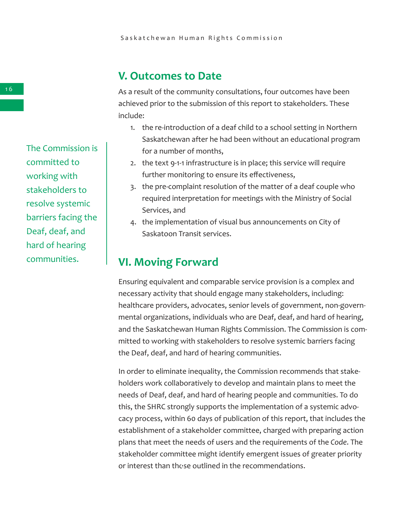## **V. Outcomes to Date**

As a result of the community consultations, four outcomes have been achieved prior to the submission of this report to stakeholders. These include:

- 1. the re-introduction of a deaf child to a school setting in Northern Saskatchewan after he had been without an educational program for a number of months,
- 2. the text 9-1-1 infrastructure is in place; this service will require further monitoring to ensure its effectiveness,
- 3. the pre-complaint resolution of the matter of a deaf couple who required interpretation for meetings with the Ministry of Social Services, and
- 4. the implementation of visual bus announcements on City of Saskatoon Transit services.

## **VI. Moving Forward**

Ensuring equivalent and comparable service provision is a complex and necessary activity that should engage many stakeholders, including: healthcare providers, advocates, senior levels of government, non-governmental organizations, individuals who are Deaf, deaf, and hard of hearing, and the Saskatchewan Human Rights Commission. The Commission is committed to working with stakeholders to resolve systemic barriers facing the Deaf, deaf, and hard of hearing communities.

In order to eliminate inequality, the Commission recommends that stakeholders work collaboratively to develop and maintain plans to meet the needs of Deaf, deaf, and hard of hearing people and communities. To do this, the SHRC strongly supports the implementation of a systemic advocacy process, within 60 days of publication of this report, that includes the establishment of a stakeholder committee, charged with preparing action plans that meet the needs of users and the requirements of the *Code*. The stakeholder committee might identify emergent issues of greater priority or interest than those outlined in the recommendations.

1 6

The Commission is committed to working with stakeholders to resolve systemic barriers facing the Deaf, deaf, and hard of hearing communities.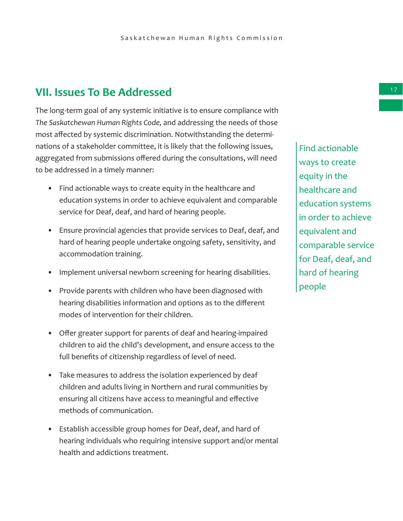## **VII. Issues To Be Addressed**

The long-term goal of any systemic initiative is to ensure compliance with *The Saskatchewan Human Rights Code,* and addressing the needs of those most affected by systemic discrimination. Notwithstanding the determinations of a stakeholder committee, it is likely that the following issues, aggregated from submissions offered during the consultations, will need to be addressed in a timely manner:

- Find actionable ways to create equity in the healthcare and education systems in order to achieve equivalent and comparable service for Deaf, deaf, and hard of hearing people.
- Ensure provincial agencies that provide services to Deaf, deaf, and hard of hearing people undertake ongoing safety, sensitivity, and accommodation training.
- Implement universal newborn screening for hearing disabilities.
- Provide parents with children who have been diagnosed with hearing disabilities information and options as to the different modes of intervention for their children.
- Offer greater support for parents of deaf and hearing-impaired children to aid the child's development, and ensure access to the full benefits of citizenship regardless of level of need.
- Take measures to address the isolation experienced by deaf children and adults living in Northern and rural communities by ensuring all citizens have access to meaningful and effective methods of communication.
- Establish accessible group homes for Deaf, deaf, and hard of hearing individuals who requiring intensive support and/or mental health and addictions treatment.

Find actionable ways to create equity in the healthcare and education systems in order to achieve equivalent and comparable service for Deaf, deaf, and hard of hearing people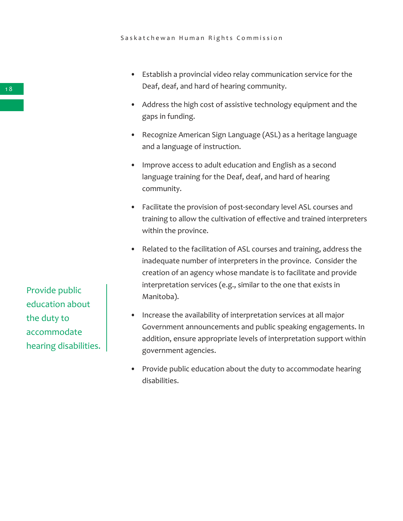- Establish a provincial video relay communication service for the Deaf, deaf, and hard of hearing community.
- Address the high cost of assistive technology equipment and the gaps in funding.
- Recognize American Sign Language (ASL) as a heritage language and a language of instruction.
- Improve access to adult education and English as a second language training for the Deaf, deaf, and hard of hearing community.
- Facilitate the provision of post-secondary level ASL courses and training to allow the cultivation of effective and trained interpreters within the province.
- Related to the facilitation of ASL courses and training, address the inadequate number of interpreters in the province. Consider the creation of an agency whose mandate is to facilitate and provide interpretation services (e.g., similar to the one that exists in Manitoba).
- Increase the availability of interpretation services at all major Government announcements and public speaking engagements. In addition, ensure appropriate levels of interpretation support within government agencies.
- Provide public education about the duty to accommodate hearing disabilities.

Provide public education about the duty to accommodate hearing disabilities.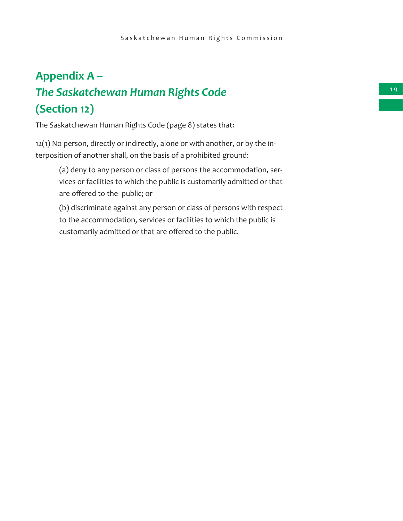## **Appendix A –**

## *The Saskatchewan Human Rights Code*  **(Section 12)**

The Saskatchewan Human Rights Code (page 8) states that:

12(1) No person, directly or indirectly, alone or with another, or by the interposition of another shall, on the basis of a prohibited ground:

(a) deny to any person or class of persons the accommodation, services or facilities to which the public is customarily admitted or that are offered to the public; or

(b) discriminate against any person or class of persons with respect to the accommodation, services or facilities to which the public is customarily admitted or that are offered to the public.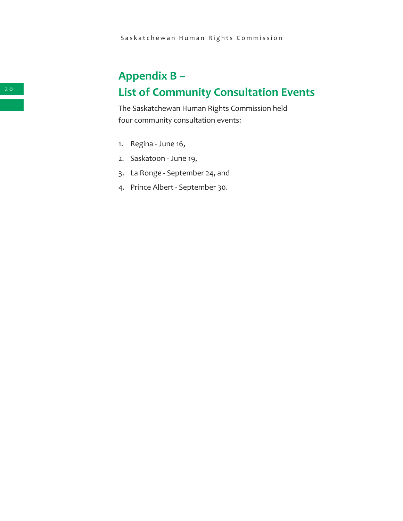## **Appendix B – List of Community Consultation Events**

The Saskatchewan Human Rights Commission held four community consultation events:

- 1. Regina June 16,
- 2. Saskatoon June 19,
- 3. La Ronge September 24, and
- 4. Prince Albert September 30.